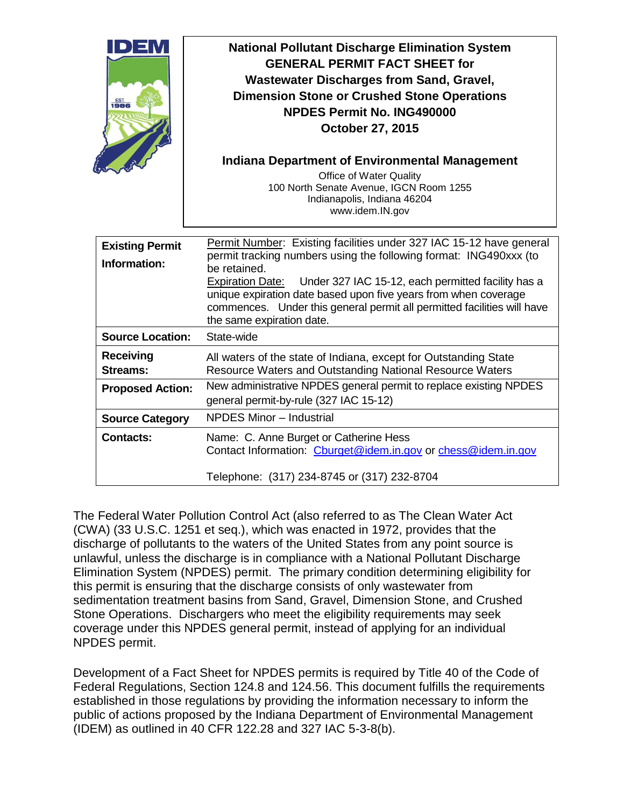| DEM<br>$rac{EST}{1986}$                | <b>National Pollutant Discharge Elimination System</b><br><b>GENERAL PERMIT FACT SHEET for</b><br><b>Wastewater Discharges from Sand, Gravel,</b><br><b>Dimension Stone or Crushed Stone Operations</b><br><b>NPDES Permit No. ING490000</b><br><b>October 27, 2015</b><br><b>Indiana Department of Environmental Management</b><br>Office of Water Quality<br>100 North Senate Avenue, IGCN Room 1255<br>Indianapolis, Indiana 46204<br>www.idem.IN.gov |
|----------------------------------------|----------------------------------------------------------------------------------------------------------------------------------------------------------------------------------------------------------------------------------------------------------------------------------------------------------------------------------------------------------------------------------------------------------------------------------------------------------|
| <b>Existing Permit</b><br>Information: | Permit Number: Existing facilities under 327 IAC 15-12 have general<br>permit tracking numbers using the following format: ING490xxx (to<br>be retained.<br>Expiration Date: Under 327 IAC 15-12, each permitted facility has a<br>unique expiration date based upon five years from when coverage<br>commences. Under this general permit all permitted facilities will have<br>the same expiration date.                                               |
| <b>Source Location:</b>                | State-wide                                                                                                                                                                                                                                                                                                                                                                                                                                               |
| <b>Receiving</b><br>Streams:           | All waters of the state of Indiana, except for Outstanding State<br>Resource Waters and Outstanding National Resource Waters                                                                                                                                                                                                                                                                                                                             |
| <b>Proposed Action:</b>                | New administrative NPDES general permit to replace existing NPDES<br>general permit-by-rule (327 IAC 15-12)                                                                                                                                                                                                                                                                                                                                              |
| <b>Source Category</b>                 | NPDES Minor - Industrial                                                                                                                                                                                                                                                                                                                                                                                                                                 |
| <b>Contacts:</b>                       | Name: C. Anne Burget or Catherine Hess<br>Contact Information: Cburget@idem.in.gov or chess@idem.in.gov<br>Telephone: (317) 234-8745 or (317) 232-8704                                                                                                                                                                                                                                                                                                   |

The Federal Water Pollution Control Act (also referred to as The Clean Water Act (CWA) (33 U.S.C. 1251 et seq.), which was enacted in 1972, provides that the discharge of pollutants to the waters of the United States from any point source is unlawful, unless the discharge is in compliance with a National Pollutant Discharge Elimination System (NPDES) permit. The primary condition determining eligibility for this permit is ensuring that the discharge consists of only wastewater from sedimentation treatment basins from Sand, Gravel, Dimension Stone, and Crushed Stone Operations. Dischargers who meet the eligibility requirements may seek coverage under this NPDES general permit, instead of applying for an individual NPDES permit.

Development of a Fact Sheet for NPDES permits is required by Title 40 of the Code of Federal Regulations, Section 124.8 and 124.56. This document fulfills the requirements established in those regulations by providing the information necessary to inform the public of actions proposed by the Indiana Department of Environmental Management (IDEM) as outlined in 40 CFR 122.28 and 327 IAC 5-3-8(b).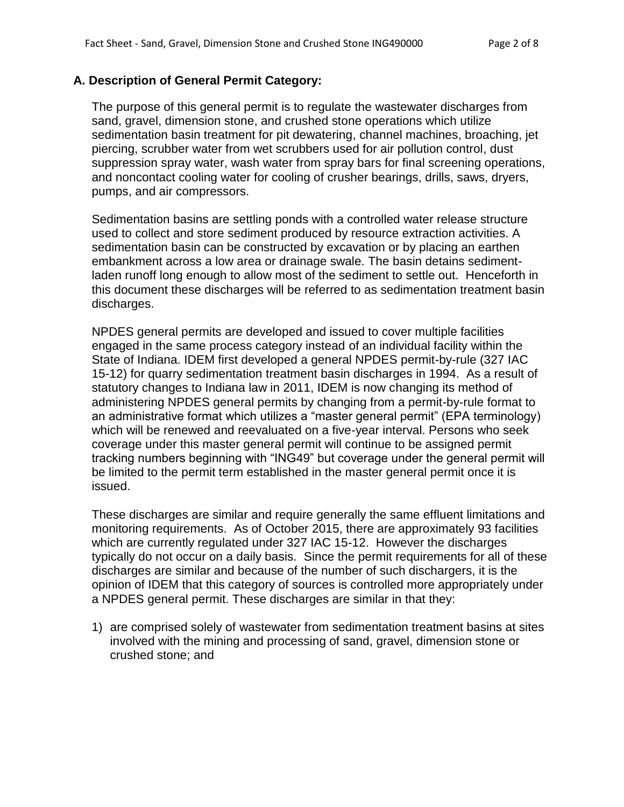### **A. Description of General Permit Category:**

The purpose of this general permit is to regulate the wastewater discharges from sand, gravel, dimension stone, and crushed stone operations which utilize sedimentation basin treatment for pit dewatering, channel machines, broaching, jet piercing, scrubber water from wet scrubbers used for air pollution control, dust suppression spray water, wash water from spray bars for final screening operations, and noncontact cooling water for cooling of crusher bearings, drills, saws, dryers, pumps, and air compressors.

Sedimentation basins are settling ponds with a controlled water release structure used to collect and store sediment produced by resource extraction activities. A sedimentation basin can be constructed by excavation or by placing an earthen embankment across a low area or drainage swale. The basin detains sedimentladen runoff long enough to allow most of the sediment to settle out. Henceforth in this document these discharges will be referred to as sedimentation treatment basin discharges.

NPDES general permits are developed and issued to cover multiple facilities engaged in the same process category instead of an individual facility within the State of Indiana. IDEM first developed a general NPDES permit-by-rule (327 IAC 15-12) for quarry sedimentation treatment basin discharges in 1994. As a result of statutory changes to Indiana law in 2011, IDEM is now changing its method of administering NPDES general permits by changing from a permit-by-rule format to an administrative format which utilizes a "master general permit" (EPA terminology) which will be renewed and reevaluated on a five-year interval. Persons who seek coverage under this master general permit will continue to be assigned permit tracking numbers beginning with "ING49" but coverage under the general permit will be limited to the permit term established in the master general permit once it is issued.

These discharges are similar and require generally the same effluent limitations and monitoring requirements. As of October 2015, there are approximately 93 facilities which are currently regulated under 327 IAC 15-12. However the discharges typically do not occur on a daily basis. Since the permit requirements for all of these discharges are similar and because of the number of such dischargers, it is the opinion of IDEM that this category of sources is controlled more appropriately under a NPDES general permit. These discharges are similar in that they:

1) are comprised solely of wastewater from sedimentation treatment basins at sites involved with the mining and processing of sand, gravel, dimension stone or crushed stone; and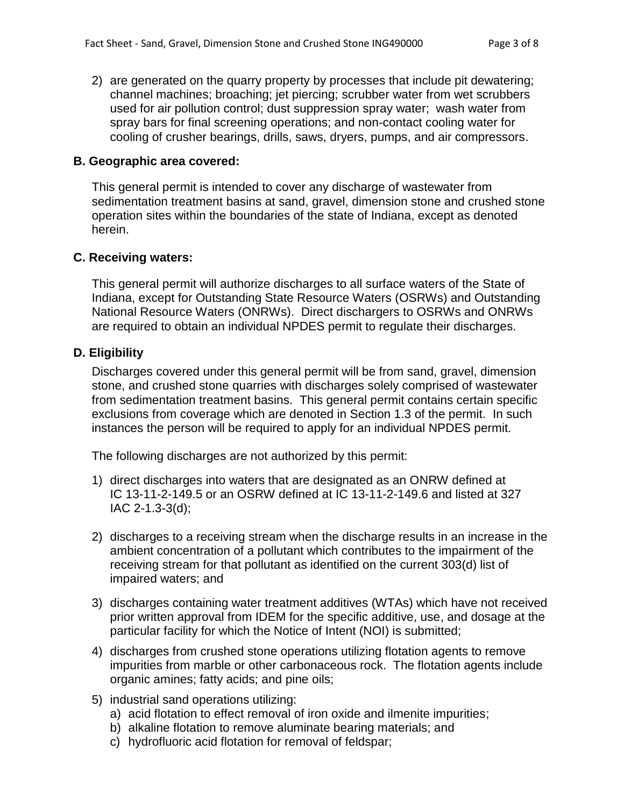2) are generated on the quarry property by processes that include pit dewatering; channel machines; broaching; jet piercing; scrubber water from wet scrubbers used for air pollution control; dust suppression spray water; wash water from spray bars for final screening operations; and non-contact cooling water for cooling of crusher bearings, drills, saws, dryers, pumps, and air compressors.

#### **B. Geographic area covered:**

This general permit is intended to cover any discharge of wastewater from sedimentation treatment basins at sand, gravel, dimension stone and crushed stone operation sites within the boundaries of the state of Indiana, except as denoted herein.

#### **C. Receiving waters:**

This general permit will authorize discharges to all surface waters of the State of Indiana, except for Outstanding State Resource Waters (OSRWs) and Outstanding National Resource Waters (ONRWs). Direct dischargers to OSRWs and ONRWs are required to obtain an individual NPDES permit to regulate their discharges.

#### **D. Eligibility**

Discharges covered under this general permit will be from sand, gravel, dimension stone, and crushed stone quarries with discharges solely comprised of wastewater from sedimentation treatment basins. This general permit contains certain specific exclusions from coverage which are denoted in Section 1.3 of the permit. In such instances the person will be required to apply for an individual NPDES permit.

The following discharges are not authorized by this permit:

- 1) direct discharges into waters that are designated as an ONRW defined at IC 13-11-2-149.5 or an OSRW defined at IC 13-11-2-149.6 and listed at 327 IAC 2-1.3-3(d);
- 2) discharges to a receiving stream when the discharge results in an increase in the ambient concentration of a pollutant which contributes to the impairment of the receiving stream for that pollutant as identified on the current 303(d) list of impaired waters; and
- 3) discharges containing water treatment additives (WTAs) which have not received prior written approval from IDEM for the specific additive, use, and dosage at the particular facility for which the Notice of Intent (NOI) is submitted;
- 4) discharges from crushed stone operations utilizing flotation agents to remove impurities from marble or other carbonaceous rock. The flotation agents include organic amines; fatty acids; and pine oils;
- 5) industrial sand operations utilizing:
	- a) acid flotation to effect removal of iron oxide and ilmenite impurities;
	- b) alkaline flotation to remove aluminate bearing materials; and
	- c) hydrofluoric acid flotation for removal of feldspar;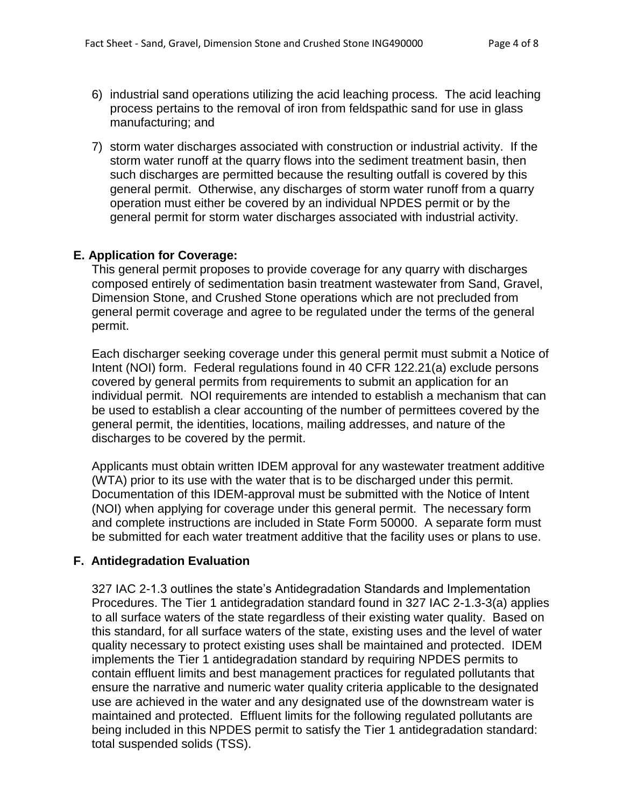- 6) industrial sand operations utilizing the acid leaching process. The acid leaching process pertains to the removal of iron from feldspathic sand for use in glass manufacturing; and
- 7) storm water discharges associated with construction or industrial activity. If the storm water runoff at the quarry flows into the sediment treatment basin, then such discharges are permitted because the resulting outfall is covered by this general permit. Otherwise, any discharges of storm water runoff from a quarry operation must either be covered by an individual NPDES permit or by the general permit for storm water discharges associated with industrial activity.

### **E. Application for Coverage:**

This general permit proposes to provide coverage for any quarry with discharges composed entirely of sedimentation basin treatment wastewater from Sand, Gravel, Dimension Stone, and Crushed Stone operations which are not precluded from general permit coverage and agree to be regulated under the terms of the general permit.

Each discharger seeking coverage under this general permit must submit a Notice of Intent (NOI) form. Federal regulations found in 40 CFR 122.21(a) exclude persons covered by general permits from requirements to submit an application for an individual permit. NOI requirements are intended to establish a mechanism that can be used to establish a clear accounting of the number of permittees covered by the general permit, the identities, locations, mailing addresses, and nature of the discharges to be covered by the permit.

Applicants must obtain written IDEM approval for any wastewater treatment additive (WTA) prior to its use with the water that is to be discharged under this permit. Documentation of this IDEM-approval must be submitted with the Notice of Intent (NOI) when applying for coverage under this general permit. The necessary form and complete instructions are included in State Form 50000. A separate form must be submitted for each water treatment additive that the facility uses or plans to use.

# **F. Antidegradation Evaluation**

327 IAC 2-1.3 outlines the state's Antidegradation Standards and Implementation Procedures. The Tier 1 antidegradation standard found in 327 IAC 2-1.3-3(a) applies to all surface waters of the state regardless of their existing water quality. Based on this standard, for all surface waters of the state, existing uses and the level of water quality necessary to protect existing uses shall be maintained and protected. IDEM implements the Tier 1 antidegradation standard by requiring NPDES permits to contain effluent limits and best management practices for regulated pollutants that ensure the narrative and numeric water quality criteria applicable to the designated use are achieved in the water and any designated use of the downstream water is maintained and protected. Effluent limits for the following regulated pollutants are being included in this NPDES permit to satisfy the Tier 1 antidegradation standard: total suspended solids (TSS).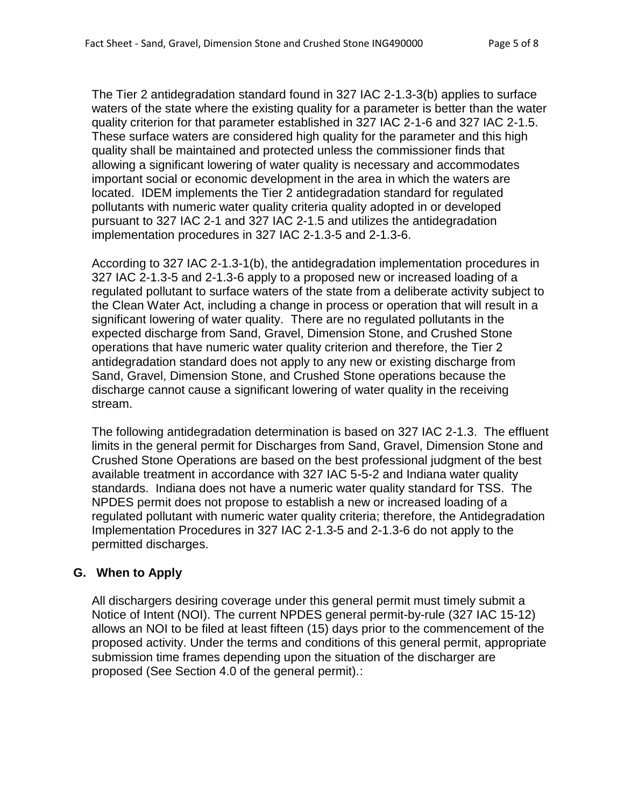The Tier 2 antidegradation standard found in 327 IAC 2-1.3-3(b) applies to surface waters of the state where the existing quality for a parameter is better than the water quality criterion for that parameter established in 327 IAC 2-1-6 and 327 IAC 2-1.5. These surface waters are considered high quality for the parameter and this high quality shall be maintained and protected unless the commissioner finds that allowing a significant lowering of water quality is necessary and accommodates important social or economic development in the area in which the waters are located. IDEM implements the Tier 2 antidegradation standard for regulated pollutants with numeric water quality criteria quality adopted in or developed pursuant to 327 IAC 2-1 and 327 IAC 2-1.5 and utilizes the antidegradation implementation procedures in 327 IAC 2-1.3-5 and 2-1.3-6.

According to 327 IAC 2-1.3-1(b), the antidegradation implementation procedures in 327 IAC 2-1.3-5 and 2-1.3-6 apply to a proposed new or increased loading of a regulated pollutant to surface waters of the state from a deliberate activity subject to the Clean Water Act, including a change in process or operation that will result in a significant lowering of water quality. There are no regulated pollutants in the expected discharge from Sand, Gravel, Dimension Stone, and Crushed Stone operations that have numeric water quality criterion and therefore, the Tier 2 antidegradation standard does not apply to any new or existing discharge from Sand, Gravel, Dimension Stone, and Crushed Stone operations because the discharge cannot cause a significant lowering of water quality in the receiving stream.

The following antidegradation determination is based on 327 IAC 2-1.3. The effluent limits in the general permit for Discharges from Sand, Gravel, Dimension Stone and Crushed Stone Operations are based on the best professional judgment of the best available treatment in accordance with 327 IAC 5-5-2 and Indiana water quality standards. Indiana does not have a numeric water quality standard for TSS. The NPDES permit does not propose to establish a new or increased loading of a regulated pollutant with numeric water quality criteria; therefore, the Antidegradation Implementation Procedures in 327 IAC 2-1.3-5 and 2-1.3-6 do not apply to the permitted discharges.

### **G. When to Apply**

All dischargers desiring coverage under this general permit must timely submit a Notice of Intent (NOI). The current NPDES general permit-by-rule (327 IAC 15-12) allows an NOI to be filed at least fifteen (15) days prior to the commencement of the proposed activity. Under the terms and conditions of this general permit, appropriate submission time frames depending upon the situation of the discharger are proposed (See Section 4.0 of the general permit).: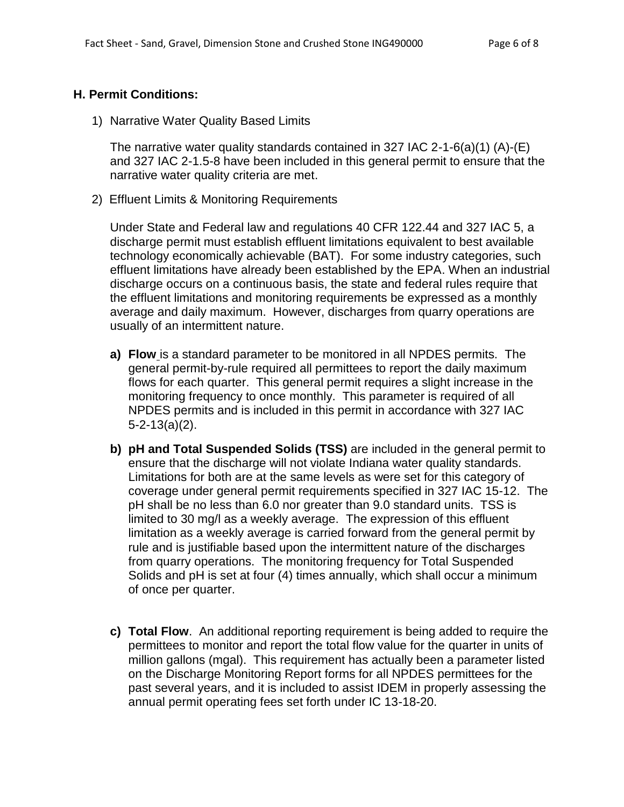#### **H. Permit Conditions:**

1) Narrative Water Quality Based Limits

The narrative water quality standards contained in 327 IAC 2-1-6(a)(1) (A)-(E) and 327 IAC 2-1.5-8 have been included in this general permit to ensure that the narrative water quality criteria are met.

2) Effluent Limits & Monitoring Requirements

Under State and Federal law and regulations 40 CFR 122.44 and 327 IAC 5, a discharge permit must establish effluent limitations equivalent to best available technology economically achievable (BAT). For some industry categories, such effluent limitations have already been established by the EPA. When an industrial discharge occurs on a continuous basis, the state and federal rules require that the effluent limitations and monitoring requirements be expressed as a monthly average and daily maximum. However, discharges from quarry operations are usually of an intermittent nature.

- **a) Flow** is a standard parameter to be monitored in all NPDES permits. The general permit-by-rule required all permittees to report the daily maximum flows for each quarter. This general permit requires a slight increase in the monitoring frequency to once monthly. This parameter is required of all NPDES permits and is included in this permit in accordance with 327 IAC 5-2-13(a)(2).
- **b) pH and Total Suspended Solids (TSS)** are included in the general permit to ensure that the discharge will not violate Indiana water quality standards. Limitations for both are at the same levels as were set for this category of coverage under general permit requirements specified in 327 IAC 15-12. The pH shall be no less than 6.0 nor greater than 9.0 standard units. TSS is limited to 30 mg/l as a weekly average. The expression of this effluent limitation as a weekly average is carried forward from the general permit by rule and is justifiable based upon the intermittent nature of the discharges from quarry operations. The monitoring frequency for Total Suspended Solids and pH is set at four (4) times annually, which shall occur a minimum of once per quarter.
- **c) Total Flow**. An additional reporting requirement is being added to require the permittees to monitor and report the total flow value for the quarter in units of million gallons (mgal). This requirement has actually been a parameter listed on the Discharge Monitoring Report forms for all NPDES permittees for the past several years, and it is included to assist IDEM in properly assessing the annual permit operating fees set forth under IC 13-18-20.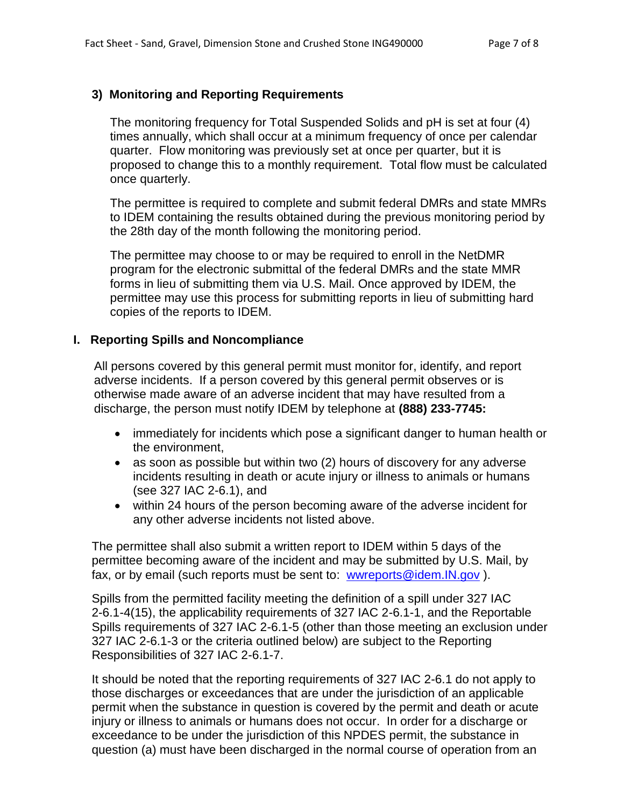### **3) Monitoring and Reporting Requirements**

The monitoring frequency for Total Suspended Solids and pH is set at four (4) times annually, which shall occur at a minimum frequency of once per calendar quarter. Flow monitoring was previously set at once per quarter, but it is proposed to change this to a monthly requirement. Total flow must be calculated once quarterly.

The permittee is required to complete and submit federal DMRs and state MMRs to IDEM containing the results obtained during the previous monitoring period by the 28th day of the month following the monitoring period.

The permittee may choose to or may be required to enroll in the NetDMR program for the electronic submittal of the federal DMRs and the state MMR forms in lieu of submitting them via U.S. Mail. Once approved by IDEM, the permittee may use this process for submitting reports in lieu of submitting hard copies of the reports to IDEM.

#### **I. Reporting Spills and Noncompliance**

All persons covered by this general permit must monitor for, identify, and report adverse incidents. If a person covered by this general permit observes or is otherwise made aware of an adverse incident that may have resulted from a discharge, the person must notify IDEM by telephone at **(888) 233-7745:**

- immediately for incidents which pose a significant danger to human health or the environment,
- as soon as possible but within two (2) hours of discovery for any adverse incidents resulting in death or acute injury or illness to animals or humans (see 327 IAC 2-6.1), and
- within 24 hours of the person becoming aware of the adverse incident for any other adverse incidents not listed above.

The permittee shall also submit a written report to IDEM within 5 days of the permittee becoming aware of the incident and may be submitted by U.S. Mail, by fax, or by email (such reports must be sent to: [wwreports@idem.IN.gov](mailto:wwreports@idem.IN.gov) ).

Spills from the permitted facility meeting the definition of a spill under 327 IAC 2-6.1-4(15), the applicability requirements of 327 IAC 2-6.1-1, and the Reportable Spills requirements of 327 IAC 2-6.1-5 (other than those meeting an exclusion under 327 IAC 2-6.1-3 or the criteria outlined below) are subject to the Reporting Responsibilities of 327 IAC 2-6.1-7.

It should be noted that the reporting requirements of 327 IAC 2-6.1 do not apply to those discharges or exceedances that are under the jurisdiction of an applicable permit when the substance in question is covered by the permit and death or acute injury or illness to animals or humans does not occur. In order for a discharge or exceedance to be under the jurisdiction of this NPDES permit, the substance in question (a) must have been discharged in the normal course of operation from an